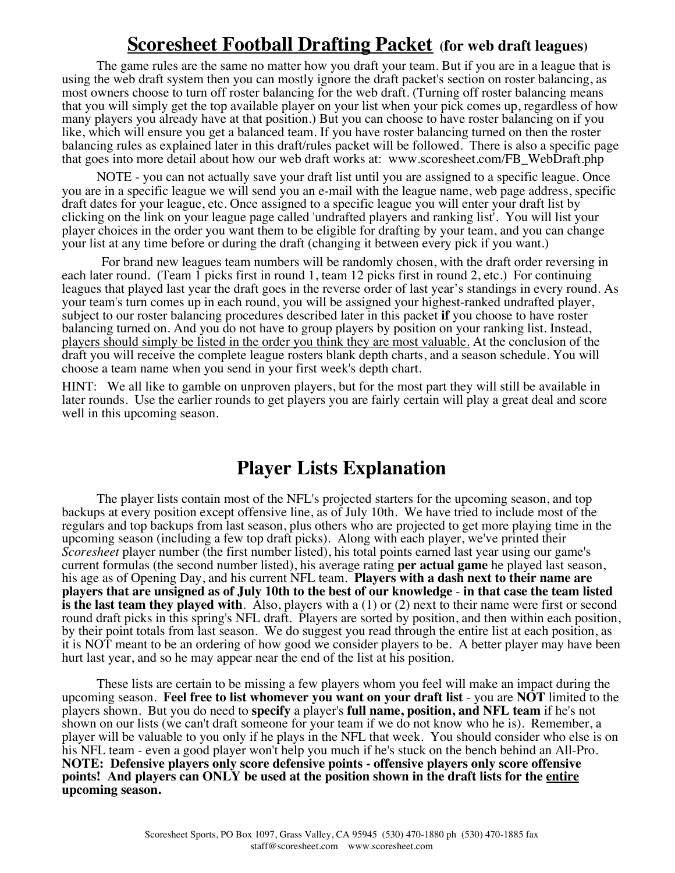# **Scoresheet Football Drafting Packet (for web draft leagues)**

The game rules are the same no matter how you draft your team. But if you are in a league that is using the web draft system then you can mostly ignore the draft packet's section on roster balancing, as most owners choose to turn off roster balancing for the web draft. (Turning off roster balancing means that you will simply get the top available player on your list when your pick comes up, regardless of how many players you already have at that position.) But you can choose to have roster balancing on if you like, which will ensure you get a balanced team. If you have roster balancing turned on then the roster balancing rules as explained later in this draft/rules packet will be followed. There is also a specific page that goes into more detail about how our web draft works at: www.scoresheet.com/FB\_WebDraft.php

NOTE - you can not actually save your draft list until you are assigned to a specific league. Once you are in a specific league we will send you an e-mail with the league name, web page address, specific draft dates for your league, etc. Once assigned to a specific league you will enter your draft list by clicking on the link on your league page called 'undrafted players and ranking list'. You will list your player choices in the order you want them to be eligible for drafting by your team, and you can change your list at any time before or during the draft (changing it between every pick if you want.)

For brand new leagues team numbers will be randomly chosen, with the draft order reversing in each later round. (Team 1 picks first in round 1, team 12 picks first in round 2, etc.) For continuing leagues that played last year the draft goes in the reverse order of last year's standings in every round. As your team's turn comes up in each round, you will be assigned your highest-ranked undrafted player, subject to our roster balancing procedures described later in this packet **if** you choose to have roster balancing turned on. And you do not have to group players by position on your ranking list. Instead, players should simply be listed in the order you think they are most valuable. At the conclusion of the draft you will receive the complete league rosters blank depth charts, and a season schedule. You will choose a team name when you send in your first week's depth chart.

HINT: We all like to gamble on unproven players, but for the most part they will still be available in later rounds. Use the earlier rounds to get players you are fairly certain will play a great deal and score well in this upcoming season.

# **Player Lists Explanation**

The player lists contain most of the NFL's projected starters for the upcoming season, and top backups at every position except offensive line, as of July 10th. We have tried to include most of the regulars and top backups from last season, plus others who are projected to get more playing time in the upcoming season (including a few top draft picks). Along with each player, we've printed their *Scoresheet* player number (the first number listed), his total points earned last year using our game's current formulas (the second number listed), his average rating **per actual game** he played last season, his age as of Opening Day, and his current NFL team. **Players with a dash next to their name are players that are unsigned as of July 10th to the best of our knowledge** - **in that case the team listed is the last team they played with**. Also, players with a (1) or (2) next to their name were first or second round draft picks in this spring's NFL draft. Players are sorted by position, and then within each position, by their point totals from last season. We do suggest you read through the entire list at each position, as it is NOT meant to be an ordering of how good we consider players to be. A better player may have been hurt last year, and so he may appear near the end of the list at his position.

These lists are certain to be missing a few players whom you feel will make an impact during the upcoming season. **Feel free to list whomever you want on your draft list** - you are **NOT** limited to the players shown. But you do need to **specify** a player's **full name, position, and NFL team** if he's not shown on our lists (we can't draft someone for your team if we do not know who he is). Remember, a player will be valuable to you only if he plays in the NFL that week. You should consider who else is on his NFL team - even a good player won't help you much if he's stuck on the bench behind an All-Pro. **NOTE: Defensive players only score defensive points - offensive players only score offensive points! And players can ONLY be used at the position shown in the draft lists for the entire upcoming season.**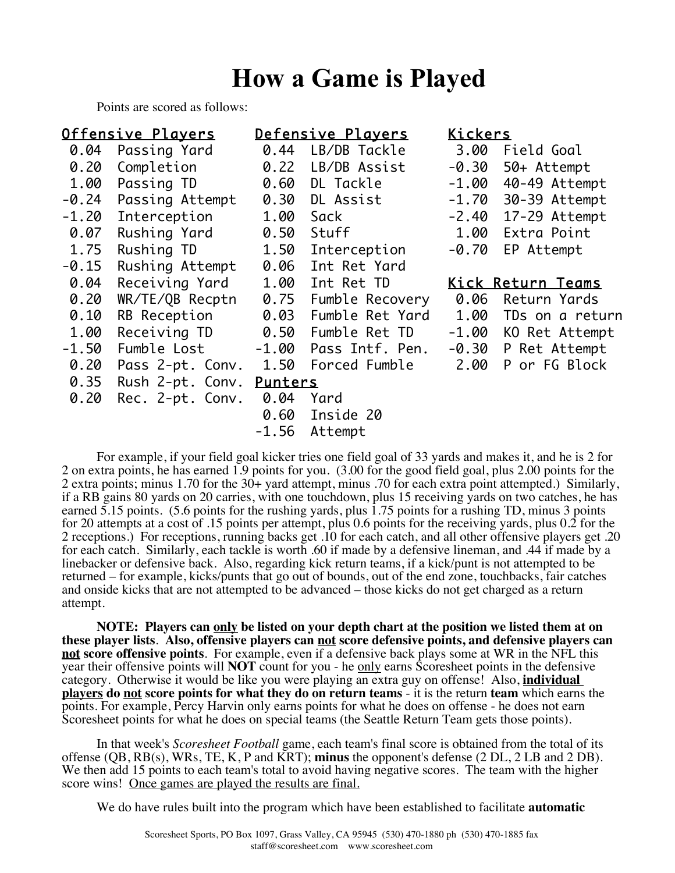# **How a Game is Played**

Points are scored as follows:

| Offensive Players |                  | Defensive Plavers |                 | Kickers |                          |  |
|-------------------|------------------|-------------------|-----------------|---------|--------------------------|--|
| 0.04              | Passing Yard     | 0.44              | LB/DB Tackle    | 3.00    | Field Goal               |  |
| 0.20              | Completion       | 0.22              | LB/DB Assist    | $-0.30$ | 50+ Attempt              |  |
| 1.00              | Passing TD       | 0.60              | DL Tackle       | $-1.00$ | 40-49 Attempt            |  |
| $-0.24$           | Passing Attempt  | 0.30              | DL Assist       | $-1.70$ | 30-39 Attempt            |  |
| $-1.20$           | Interception     | 1.00              | Sack            | $-2.40$ | 17-29 Attempt            |  |
| 0.07              | Rushing Yard     | 0.50              | Stuff           | 1.00    | Extra Point              |  |
| 1.75              | Rushing TD       | 1.50              | Interception    | $-0.70$ | EP Attempt               |  |
| $-0.15$           | Rushing Attempt  | 0.06              | Int Ret Yard    |         |                          |  |
| 0.04              | Receiving Yard   | 1.00              | Int Ret TD      |         | <u>Kick Return Teams</u> |  |
| 0.20              | WR/TE/QB Recptn  | 0.75              | Fumble Recovery | 0.06    | Return Yards             |  |
| 0.10              | RB Reception     | 0.03              | Fumble Ret Yard | 1.00    | TDs on a return          |  |
| 1.00              | Receiving TD     | 0.50              | Fumble Ret TD   | $-1.00$ | KO Ret Attempt           |  |
| $-1.50$           | Fumble Lost      | $-1.00$           | Pass Intf. Pen. |         | -0.30 P Ret Attempt      |  |
| 0.20              | Pass 2-pt. Conv. | 1.50              | Forced Fumble   | 2.00    | P or FG Block            |  |
| 0.35              | Rush 2-pt. Conv. | Punters           |                 |         |                          |  |
| 0.20              | Rec. 2-pt. Conv. | 0.04              | Yard            |         |                          |  |
|                   |                  | 0.60              | Inside 20       |         |                          |  |
|                   |                  | $-1.56$           | Attempt         |         |                          |  |

For example, if your field goal kicker tries one field goal of 33 yards and makes it, and he is 2 for 2 on extra points, he has earned 1.9 points for you. (3.00 for the good field goal, plus 2.00 points for the 2 extra points; minus 1.70 for the 30+ yard attempt, minus .70 for each extra point attempted.) Similarly, if a RB gains 80 yards on 20 carries, with one touchdown, plus 15 receiving yards on two catches, he has earned  $\overline{5.15}$  points. (5.6 points for the rushing yards, plus 1.75 points for a rushing TD, minus 3 points for 20 attempts at a cost of .15 points per attempt, plus 0.6 points for the receiving yards, plus 0.2 for the 2 receptions.) For receptions, running backs get .10 for each catch, and all other offensive players get .20 for each catch. Similarly, each tackle is worth .60 if made by a defensive lineman, and .44 if made by a linebacker or defensive back. Also, regarding kick return teams, if a kick/punt is not attempted to be returned – for example, kicks/punts that go out of bounds, out of the end zone, touchbacks, fair catches and onside kicks that are not attempted to be advanced – those kicks do not get charged as a return attempt.

**NOTE: Players can only be listed on your depth chart at the position we listed them at on these player lists**. **Also, offensive players can not score defensive points, and defensive players can not score offensive points**. For example, even if a defensive back plays some at WR in the NFL this year their offensive points will **NOT** count for you - he only earns Scoresheet points in the defensive category. Otherwise it would be like you were playing an extra guy on offense! Also, **individual players do not score points for what they do on return teams** - it is the return **team** which earns the points. For example, Percy Harvin only earns points for what he does on offense - he does not earn Scoresheet points for what he does on special teams (the Seattle Return Team gets those points).

In that week's *Scoresheet Football* game, each team's final score is obtained from the total of its offense (QB, RB(s), WRs, TE, K, P and KRT); **minus** the opponent's defense (2 DL, 2 LB and 2 DB). We then add 15 points to each team's total to avoid having negative scores. The team with the higher score wins! Once games are played the results are final.

We do have rules built into the program which have been established to facilitate **automatic**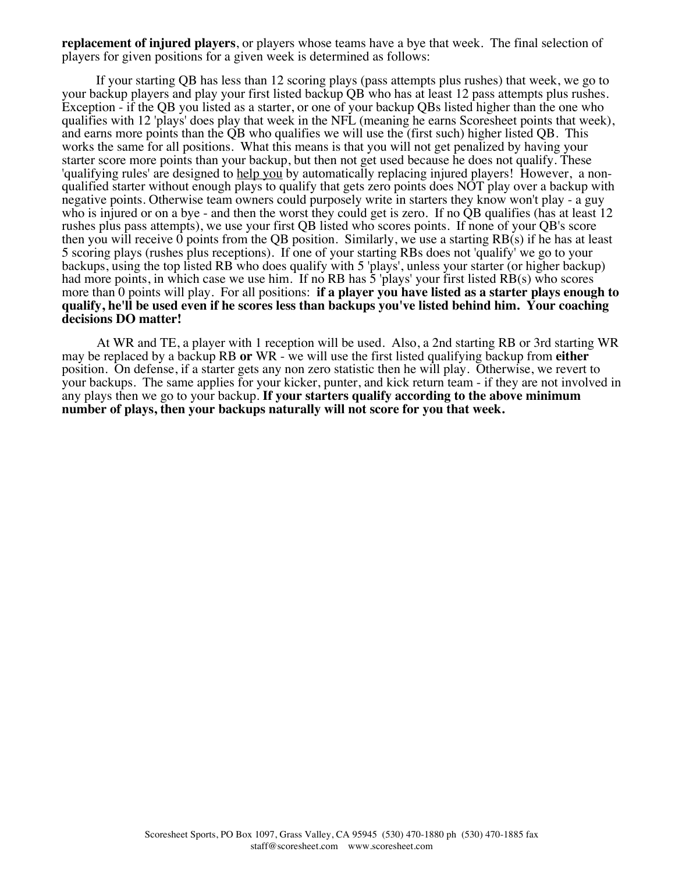**replacement of injured players**, or players whose teams have a bye that week. The final selection of players for given positions for a given week is determined as follows:

If your starting QB has less than 12 scoring plays (pass attempts plus rushes) that week, we go to your backup players and play your first listed backup QB who has at least 12 pass attempts plus rushes. Exception - if the QB you listed as a starter, or one of your backup QBs listed higher than the one who qualifies with 12 'plays' does play that week in the NFL (meaning he earns Scoresheet points that week), and earns more points than the QB who qualifies we will use the (first such) higher listed QB. This works the same for all positions. What this means is that you will not get penalized by having your starter score more points than your backup, but then not get used because he does not qualify. These 'qualifying rules' are designed to help you by automatically replacing injured players! However, a nonqualified starter without enough plays to qualify that gets zero points does NOT play over a backup with negative points. Otherwise team owners could purposely write in starters they know won't play - a guy who is injured or on a bye - and then the worst they could get is zero. If no QB qualifies (has at least 12 rushes plus pass attempts), we use your first QB listed who scores points. If none of your QB's score then you will receive 0 points from the QB position. Similarly, we use a starting RB(s) if he has at least 5 scoring plays (rushes plus receptions). If one of your starting RBs does not 'qualify' we go to your backups, using the top listed RB who does qualify with 5 'plays', unless your starter (or higher backup) had more points, in which case we use him. If no RB has 5 'plays' your first listed RB(s) who scores more than 0 points will play. For all positions: **if a player you have listed as a starter plays enough to qualify, he'll be used even if he scores less than backups you've listed behind him. Your coaching decisions DO matter!**

At WR and TE, a player with 1 reception will be used. Also, a 2nd starting RB or 3rd starting WR may be replaced by a backup RB **or** WR - we will use the first listed qualifying backup from **either** position. On defense, if a starter gets any non zero statistic then he will play. Otherwise, we revert to your backups. The same applies for your kicker, punter, and kick return team - if they are not involved in any plays then we go to your backup. **If your starters qualify according to the above minimum number of plays, then your backups naturally will not score for you that week.**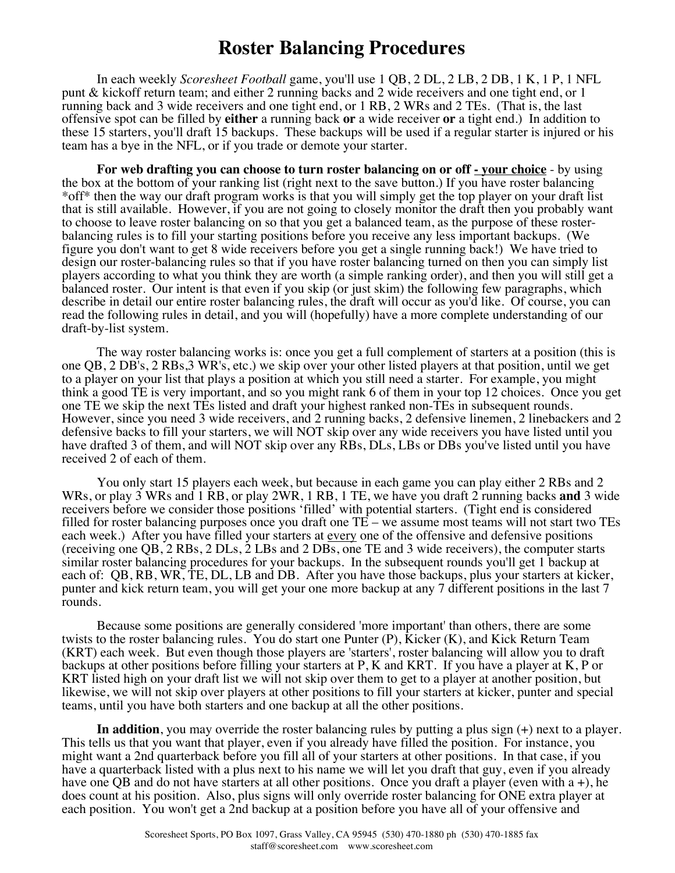# **Roster Balancing Procedures**

In each weekly *Scoresheet Football* game, you'll use 1 QB, 2 DL, 2 LB, 2 DB, 1 K, 1 P, 1 NFL punt & kickoff return team; and either 2 running backs and 2 wide receivers and one tight end, or 1 running back and 3 wide receivers and one tight end, or 1 RB, 2 WRs and 2 TEs. (That is, the last offensive spot can be filled by **either** a running back **or** a wide receiver **or** a tight end.) In addition to these 15 starters, you'll draft 15 backups. These backups will be used if a regular starter is injured or his team has a bye in the NFL, or if you trade or demote your starter.

For web drafting you can choose to turn roster balancing on or off <u>- your choice</u> - by using the box at the bottom of your ranking list (right next to the save button.) If you have roster balancing \*off\* then the way our draft program works is that you will simply get the top player on your draft list that is still available. However, if you are not going to closely monitor the draft then you probably want to choose to leave roster balancing on so that you get a balanced team, as the purpose of these rosterbalancing rules is to fill your starting positions before you receive any less important backups. (We figure you don't want to get 8 wide receivers before you get a single running back!) We have tried to design our roster-balancing rules so that if you have roster balancing turned on then you can simply list players according to what you think they are worth (a simple ranking order), and then you will still get a balanced roster. Our intent is that even if you skip (or just skim) the following few paragraphs, which describe in detail our entire roster balancing rules, the draft will occur as you'd like. Of course, you can read the following rules in detail, and you will (hopefully) have a more complete understanding of our draft-by-list system.

The way roster balancing works is: once you get a full complement of starters at a position (this is one QB, 2 DB's, 2 RBs,3 WR's, etc.) we skip over your other listed players at that position, until we get to a player on your list that plays a position at which you still need a starter. For example, you might think a good TE is very important, and so you might rank 6 of them in your top 12 choices. Once you get one TE we skip the next TEs listed and draft your highest ranked non-TEs in subsequent rounds. However, since you need 3 wide receivers, and 2 running backs, 2 defensive linemen, 2 linebackers and 2 defensive backs to fill your starters, we will NOT skip over any wide receivers you have listed until you have drafted 3 of them, and will NOT skip over any RBs, DLs, LBs or DBs you've listed until you have received 2 of each of them.

You only start 15 players each week, but because in each game you can play either 2 RBs and 2 WRs, or play 3 WRs and 1 RB, or play 2WR, 1 RB, 1 TE, we have you draft 2 running backs **and** 3 wide receivers before we consider those positions 'filled' with potential starters. (Tight end is considered filled for roster balancing purposes once you draft one  $TE$  – we assume most teams will not start two TEs each week.) After you have filled your starters at <u>every</u> one of the offensive and defensive positions (receiving one QB, 2 RBs, 2 DLs, 2 LBs and 2 DBs, one TE and 3 wide receivers), the computer starts similar roster balancing procedures for your backups. In the subsequent rounds you'll get 1 backup at each of: QB, RB, WR, TE, DL, LB and DB. After you have those backups, plus your starters at kicker, punter and kick return team, you will get your one more backup at any 7 different positions in the last 7 rounds.

Because some positions are generally considered 'more important' than others, there are some twists to the roster balancing rules. You do start one Punter (P), Kicker (K), and Kick Return Team (KRT) each week. But even though those players are 'starters', roster balancing will allow you to draft backups at other positions before filling your starters at P, K and KRT. If you have a player at K, P or KRT listed high on your draft list we will not skip over them to get to a player at another position, but likewise, we will not skip over players at other positions to fill your starters at kicker, punter and special teams, until you have both starters and one backup at all the other positions.

**In addition**, you may override the roster balancing rules by putting a plus sign (+) next to a player. This tells us that you want that player, even if you already have filled the position. For instance, you might want a 2nd quarterback before you fill all of your starters at other positions. In that case, if you have a quarterback listed with a plus next to his name we will let you draft that guy, even if you already have one QB and do not have starters at all other positions. Once you draft a player (even with a +), he does count at his position. Also, plus signs will only override roster balancing for ONE extra player at each position. You won't get a 2nd backup at a position before you have all of your offensive and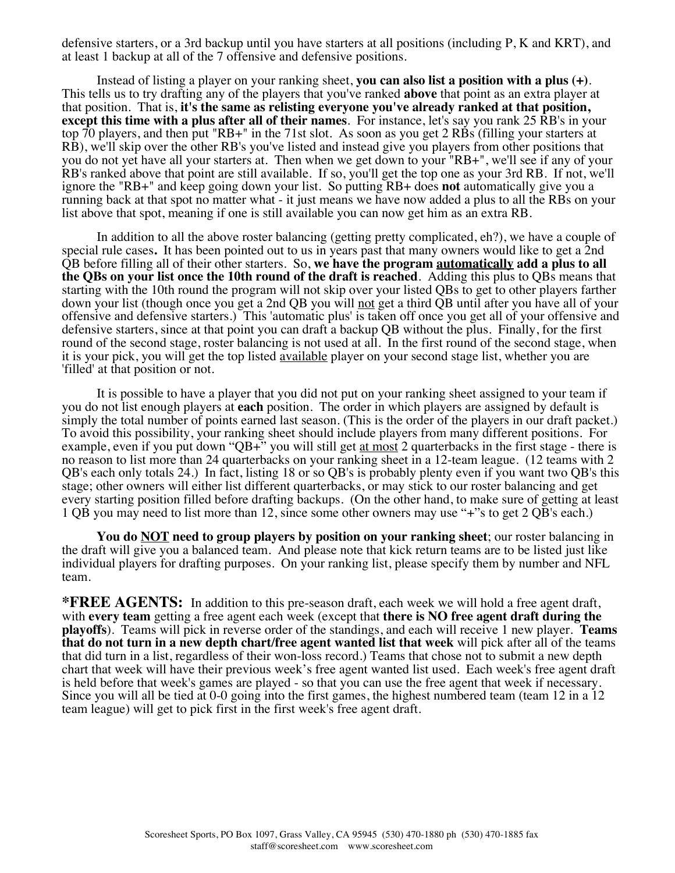defensive starters, or a 3rd backup until you have starters at all positions (including P, K and KRT), and at least 1 backup at all of the 7 offensive and defensive positions.

Instead of listing a player on your ranking sheet, **you can also list a position with a plus (+)**. This tells us to try drafting any of the players that you've ranked **above** that point as an extra player at that position. That is, **it's the same as relisting everyone you've already ranked at that position, except this time with a plus after all of their names**. For instance, let's say you rank 25 RB's in your top 70 players, and then put "RB+" in the 71st slot. As soon as you get 2 RBs (filling your starters at RB), we'll skip over the other RB's you've listed and instead give you players from other positions that you do not yet have all your starters at. Then when we get down to your "RB+", we'll see if any of your RB's ranked above that point are still available. If so, you'll get the top one as your 3rd RB. If not, we'll ignore the "RB+" and keep going down your list. So putting RB+ does **not** automatically give you a running back at that spot no matter what - it just means we have now added a plus to all the RBs on your list above that spot, meaning if one is still available you can now get him as an extra RB.

In addition to all the above roster balancing (getting pretty complicated, eh?), we have a couple of special rule cases**.** It has been pointed out to us in years past that many owners would like to get a 2nd QB before filling all of their other starters. So, **we have the program automatically add a plus to all the QBs on your list once the 10th round of the draft is reached**. Adding this plus to QBs means that starting with the 10th round the program will not skip over your listed QBs to get to other players farther down your list (though once you get a 2nd QB you will not get a third QB until after you have all of your offensive and defensive starters.) This 'automatic plus' is taken off once you get all of your offensive and defensive starters, since at that point you can draft a backup QB without the plus. Finally, for the first round of the second stage, roster balancing is not used at all. In the first round of the second stage, when it is your pick, you will get the top listed <u>available</u> player on your second stage list, whether you are 'filled' at that position or not.

It is possible to have a player that you did not put on your ranking sheet assigned to your team if you do not list enough players at **each** position. The order in which players are assigned by default is simply the total number of points earned last season. (This is the order of the players in our draft packet.) To avoid this possibility, your ranking sheet should include players from many different positions. For example, even if you put down "QB+" you will still get at most 2 quarterbacks in the first stage - there is no reason to list more than 24 quarterbacks on your ranking sheet in a 12-team league. (12 teams with 2 QB's each only totals 24.) In fact, listing 18 or so QB's is probably plenty even if you want two QB's this stage; other owners will either list different quarterbacks, or may stick to our roster balancing and get every starting position filled before drafting backups. (On the other hand, to make sure of getting at least 1 QB you may need to list more than 12, since some other owners may use "+"s to get 2 QB's each.)

**You do NOT need to group players by position on your ranking sheet**; our roster balancing in the draft will give you a balanced team. And please note that kick return teams are to be listed just like individual players for drafting purposes. On your ranking list, please specify them by number and NFL team.

**\*FREE AGENTS:** In addition to this pre-season draft, each week we will hold a free agent draft, with **every team** getting a free agent each week (except that **there is NO free agent draft during the playoffs**). Teams will pick in reverse order of the standings, and each will receive 1 new player. **Teams that do not turn in a new depth chart/free agent wanted list that week** will pick after all of the teams that did turn in a list, regardless of their won-loss record.) Teams that chose not to submit a new depth chart that week will have their previous week's free agent wanted list used. Each week's free agent draft is held before that week's games are played - so that you can use the free agent that week if necessary. Since you will all be tied at 0-0 going into the first games, the highest numbered team (team 12 in a 12 team league) will get to pick first in the first week's free agent draft.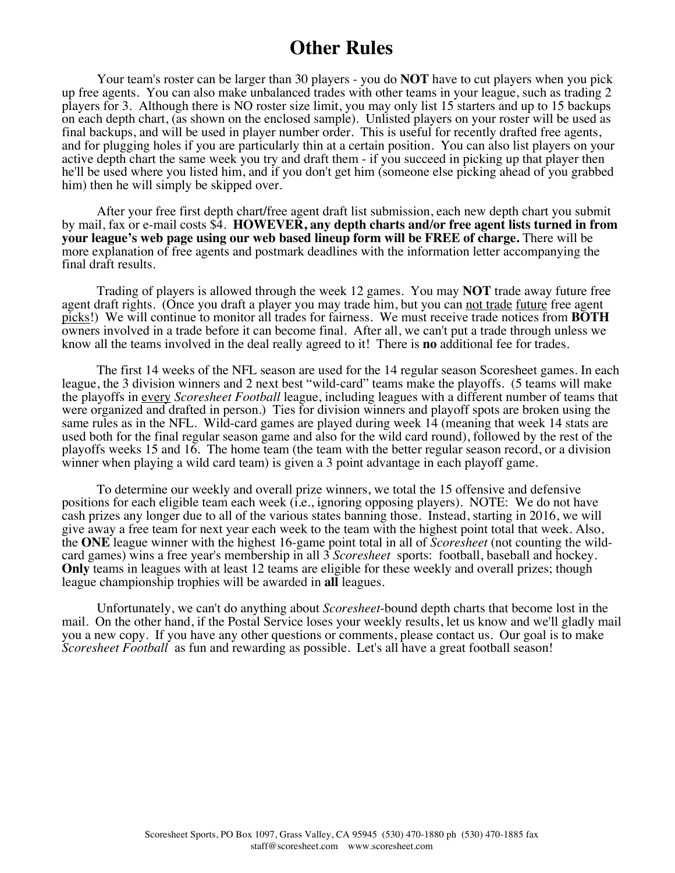## **Other Rules**

Your team's roster can be larger than 30 players - you do **NOT** have to cut players when you pick up free agents. You can also make unbalanced trades with other teams in your league, such as trading 2 players for 3. Although there is NO roster size limit, you may only list 15 starters and up to 15 backups on each depth chart, (as shown on the enclosed sample). Unlisted players on your roster will be used as final backups, and will be used in player number order. This is useful for recently drafted free agents, and for plugging holes if you are particularly thin at a certain position. You can also list players on your active depth chart the same week you try and draft them - if you succeed in picking up that player then he'll be used where you listed him, and if you don't get him (someone else picking ahead of you grabbed him) then he will simply be skipped over.

After your free first depth chart**/**free agent draft list submission, each new depth chart you submit by mail, fax or e-mail costs \$4. **HOWEVER, any depth charts and/or free agent lists turned in from your league's web page using our web based lineup form will be FREE of charge.** There will be more explanation of free agents and postmark deadlines with the information letter accompanying the final draft results.

Trading of players is allowed through the week 12 games. You may **NOT** trade away future free agent draft rights. (Once you draft a player you may trade him, but you can not trade future free agent picks!) We will continue to monitor all trades for fairness. We must receive trade notices from **BOTH**  owners involved in a trade before it can become final. After all, we can't put a trade through unless we know all the teams involved in the deal really agreed to it! There is **no** additional fee for trades.

The first 14 weeks of the NFL season are used for the 14 regular season Scoresheet games. In each league, the 3 division winners and 2 next best "wild-card" teams make the playoffs. (5 teams will make the playoffs in every *Scoresheet Football* league, including leagues with a different number of teams that were organized and drafted in person.) Ties for division winners and playoff spots are broken using the same rules as in the NFL. Wild-card games are played during week 14 (meaning that week 14 stats are used both for the final regular season game and also for the wild card round), followed by the rest of the playoffs weeks 15 and 16. The home team (the team with the better regular season record, or a division winner when playing a wild card team) is given a 3 point advantage in each playoff game.

To determine our weekly and overall prize winners, we total the 15 offensive and defensive positions for each eligible team each week (i.e., ignoring opposing players). NOTE: We do not have cash prizes any longer due to all of the various states banning those. Instead, starting in 2016, we will give away a free team for next year each week to the team with the highest point total that week. Also, the **ONE** league winner with the highest 16-game point total in all of *Scoresheet* (not counting the wildcard games) wins a free year's membership in all 3 *Scoresheet* sports: football, baseball and hockey. **Only** teams in leagues with at least 12 teams are eligible for these weekly and overall prizes; though league championship trophies will be awarded in **all** leagues.

Unfortunately, we can't do anything about *Scoresheet*-bound depth charts that become lost in the mail. On the other hand, if the Postal Service loses your weekly results, let us know and we'll gladly mail you a new copy. If you have any other questions or comments, please contact us. Our goal is to make *Scoresheet Football* as fun and rewarding as possible. Let's all have a great football season!